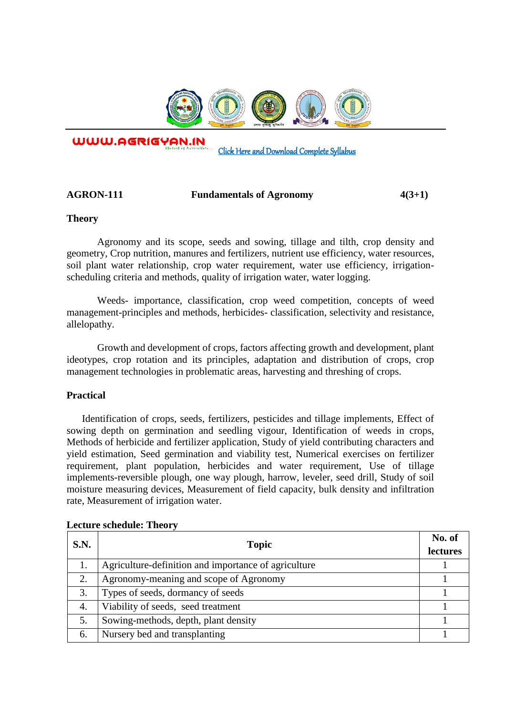

WWW.AGRIGYAN.IN

[Click Here and Download Complete Syllabus](http://agrigyan.in/) 

# **AGRON-111 Fundamentals of Agronomy 4(3+1)**

## **Theory**

 $\overline{a}$ 

Agronomy and its scope, seeds and sowing, tillage and tilth, crop density and geometry, Crop nutrition, manures and fertilizers, nutrient use efficiency, water resources, soil plant water relationship, crop water requirement, water use efficiency, irrigationscheduling criteria and methods, quality of irrigation water, water logging.

Weeds- importance, classification, crop weed competition, concepts of weed management-principles and methods, herbicides- classification, selectivity and resistance, allelopathy.

Growth and development of crops, factors affecting growth and development, plant ideotypes, crop rotation and its principles, adaptation and distribution of crops, crop management technologies in problematic areas, harvesting and threshing of crops.

## **Practical**

Identification of crops, seeds, fertilizers, pesticides and tillage implements, Effect of sowing depth on germination and seedling vigour, Identification of weeds in crops, Methods of herbicide and fertilizer application, Study of yield contributing characters and yield estimation, Seed germination and viability test, Numerical exercises on fertilizer requirement, plant population, herbicides and water requirement, Use of tillage implements-reversible plough, one way plough, harrow, leveler, seed drill, Study of soil moisture measuring devices, Measurement of field capacity, bulk density and infiltration rate, Measurement of irrigation water.

| <b>S.N.</b> | <b>Topic</b>                                         | No. of<br>lectures |
|-------------|------------------------------------------------------|--------------------|
| 1.          | Agriculture-definition and importance of agriculture |                    |
| 2.          | Agronomy-meaning and scope of Agronomy               |                    |
| 3.          | Types of seeds, dormancy of seeds                    |                    |
| 4.          | Viability of seeds, seed treatment                   |                    |
| 5.          | Sowing-methods, depth, plant density                 |                    |
| 6.          | Nursery bed and transplanting                        |                    |

## **Lecture schedule: Theory**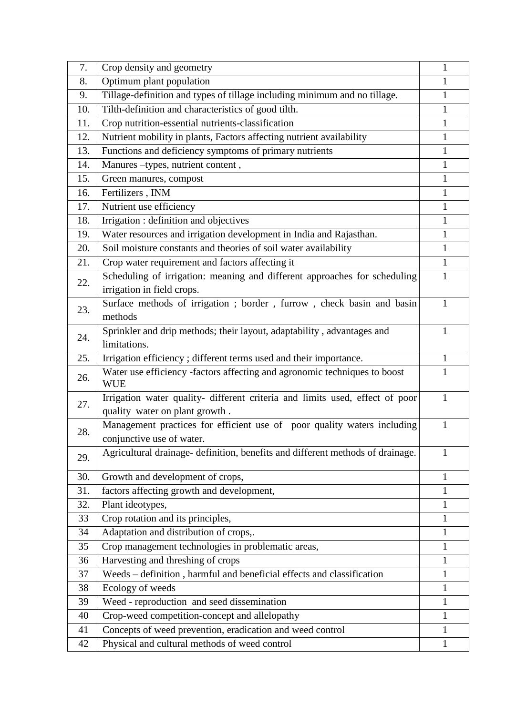| 7.        | Crop density and geometry                                                               | 1            |
|-----------|-----------------------------------------------------------------------------------------|--------------|
| 8.        | Optimum plant population                                                                | 1            |
| 9.        | Tillage-definition and types of tillage including minimum and no tillage.               | 1            |
| 10.       | Tilth-definition and characteristics of good tilth.                                     | $\mathbf{1}$ |
| 11.       | Crop nutrition-essential nutrients-classification                                       | $\mathbf{1}$ |
| 12.       | Nutrient mobility in plants, Factors affecting nutrient availability                    | $\mathbf{1}$ |
| 13.       | Functions and deficiency symptoms of primary nutrients                                  | $\mathbf{1}$ |
| 14.       | Manures -types, nutrient content,                                                       | $\mathbf{1}$ |
| 15.       | Green manures, compost                                                                  | $\mathbf{1}$ |
| 16.       | Fertilizers, INM                                                                        | $\mathbf{1}$ |
| 17.       | Nutrient use efficiency                                                                 | $\mathbf{1}$ |
| 18.       | Irrigation : definition and objectives                                                  | $\mathbf{1}$ |
| 19.       | Water resources and irrigation development in India and Rajasthan.                      | $\mathbf{1}$ |
| 20.       | Soil moisture constants and theories of soil water availability                         | 1            |
| 21.       | Crop water requirement and factors affecting it                                         | $\mathbf{1}$ |
|           | Scheduling of irrigation: meaning and different approaches for scheduling               | 1            |
| 22.       | irrigation in field crops.                                                              |              |
| 23.       | Surface methods of irrigation; border, furrow, check basin and basin                    | $\mathbf{1}$ |
|           | methods                                                                                 |              |
| 24.       | Sprinkler and drip methods; their layout, adaptability, advantages and                  | 1            |
|           | limitations.                                                                            |              |
| 25.       | Irrigation efficiency; different terms used and their importance.                       | 1            |
| 26.       | Water use efficiency -factors affecting and agronomic techniques to boost<br><b>WUE</b> | 1            |
| 27.       | Irrigation water quality- different criteria and limits used, effect of poor            | $\mathbf{1}$ |
|           | quality water on plant growth.                                                          |              |
| 28.       | Management practices for efficient use of poor quality waters including                 | 1            |
|           | conjunctive use of water.                                                               |              |
| 29.       | Agricultural drainage- definition, benefits and different methods of drainage.          | 1            |
|           |                                                                                         |              |
| 30.       | Growth and development of crops,                                                        | 1            |
| 31.       | factors affecting growth and development,                                               | 1            |
| 32.<br>33 | Plant ideotypes,                                                                        | 1            |
|           | Crop rotation and its principles,                                                       | $\mathbf{1}$ |
| 34        | Adaptation and distribution of crops,.                                                  | 1            |
| 35        | Crop management technologies in problematic areas,                                      | $\mathbf{1}$ |
| 36        | Harvesting and threshing of crops                                                       | 1            |
| 37        | Weeds - definition, harmful and beneficial effects and classification                   | 1            |
| 38        | Ecology of weeds                                                                        | 1            |
| 39        | Weed - reproduction and seed dissemination                                              | $\mathbf{1}$ |
| 40        | Crop-weed competition-concept and allelopathy                                           | $\mathbf{1}$ |
| 41        | Concepts of weed prevention, eradication and weed control                               | $\mathbf{1}$ |
| 42        | Physical and cultural methods of weed control                                           | $\mathbf{1}$ |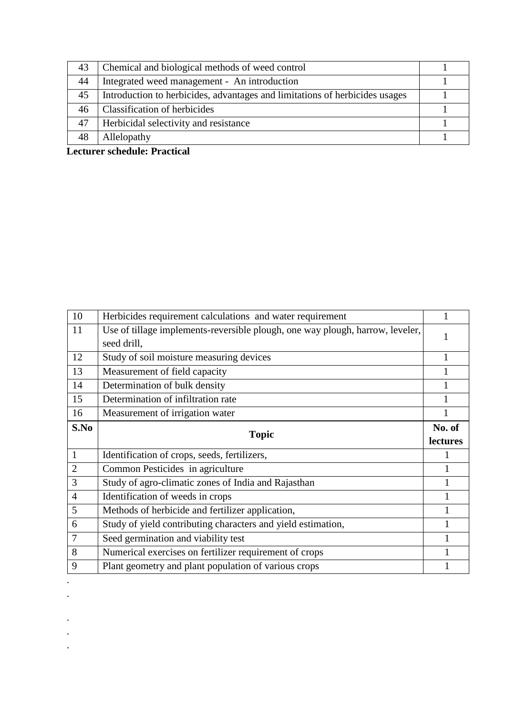| 43 | Chemical and biological methods of weed control                             |  |
|----|-----------------------------------------------------------------------------|--|
| 44 | Integrated weed management - An introduction                                |  |
| 45 | Introduction to herbicides, advantages and limitations of herbicides usages |  |
| 46 | <b>Classification of herbicides</b>                                         |  |
| 47 | Herbicidal selectivity and resistance                                       |  |
| 48 | Allelopathy                                                                 |  |

**Lecturer schedule: Practical** 

.

. . .

| 10             | Herbicides requirement calculations and water requirement                     |          |
|----------------|-------------------------------------------------------------------------------|----------|
| 11             | Use of tillage implements-reversible plough, one way plough, harrow, leveler, |          |
|                | seed drill,                                                                   |          |
| 12             | Study of soil moisture measuring devices                                      |          |
| 13             | Measurement of field capacity                                                 |          |
| 14             | Determination of bulk density                                                 |          |
| 15             | Determination of infiltration rate                                            |          |
| 16             | Measurement of irrigation water                                               |          |
| S.No           |                                                                               | No. of   |
|                | <b>Topic</b>                                                                  | lectures |
| $\mathbf{1}$   | Identification of crops, seeds, fertilizers,                                  |          |
| $\overline{2}$ | Common Pesticides in agriculture                                              |          |
|                |                                                                               |          |
| 3              | Study of agro-climatic zones of India and Rajasthan                           |          |
| $\overline{4}$ | Identification of weeds in crops                                              |          |
| 5              | Methods of herbicide and fertilizer application,                              |          |
| 6              | Study of yield contributing characters and yield estimation,                  |          |
| $\overline{7}$ | Seed germination and viability test                                           |          |
| 8              | Numerical exercises on fertilizer requirement of crops                        |          |
| 9              | Plant geometry and plant population of various crops                          |          |